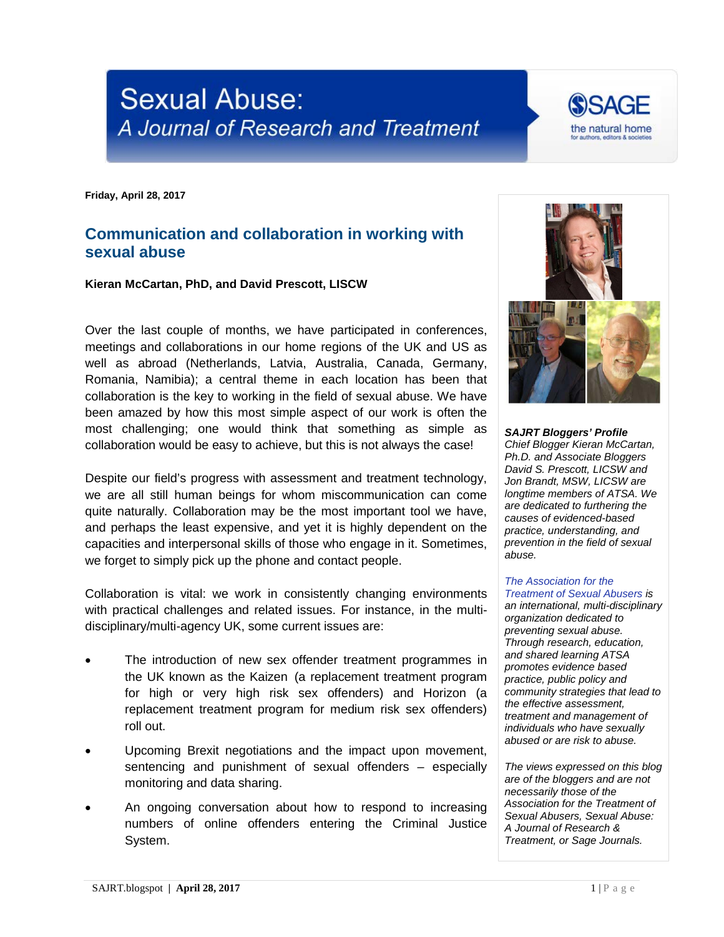## **Sexual Abuse:** A Journal of Research and Treatment

**Friday, April 28, 2017**

## **Communication and collaboration in working with sexual abuse**

**Kieran McCartan, PhD, and David Prescott, LISCW**

Over the last couple of months, we have participated in conferences, meetings and collaborations in our home regions of the UK and US as well as abroad (Netherlands, Latvia, Australia, Canada, Germany, Romania, Namibia); a central theme in each location has been that collaboration is the key to working in the field of sexual abuse. We have been amazed by how this most simple aspect of our work is often the most challenging; one would think that something as simple as collaboration would be easy to achieve, but this is not always the case!

Despite our field's progress with assessment and treatment technology, we are all still human beings for whom miscommunication can come quite naturally. Collaboration may be the most important tool we have, and perhaps the least expensive, and yet it is highly dependent on the capacities and interpersonal skills of those who engage in it. Sometimes, we forget to simply pick up the phone and contact people.

Collaboration is vital: we work in consistently changing environments with practical challenges and related issues. For instance, in the multidisciplinary/multi-agency UK, some current issues are:

- The introduction of new sex offender treatment programmes in the UK known as the Kaizen (a replacement treatment program for high or very high risk sex offenders) and Horizon (a replacement treatment program for medium risk sex offenders) roll out.
- Upcoming Brexit negotiations and the impact upon movement, sentencing and punishment of sexual offenders – especially monitoring and data sharing.
- An ongoing conversation about how to respond to increasing numbers of online offenders entering the Criminal Justice System.



the natural home

*Chief Blogger Kieran McCartan, Ph.D. and Associate Bloggers David S. Prescott, LICSW and Jon Brandt, MSW, LICSW are longtime members of ATSA. We are dedicated to furthering the causes of evidenced-based practice, understanding, and prevention in the field of sexual abuse.*

## *[The Association for the](http://atsa.com/)  [Treatment of Sexual Abusers](http://atsa.com/) is*

*an international, multi-disciplinary organization dedicated to preventing sexual abuse. Through research, education, and shared learning ATSA promotes evidence based practice, public policy and community strategies that lead to the effective assessment, treatment and management of individuals who have sexually abused or are risk to abuse.* 

*The views expressed on this blog are of the bloggers and are not necessarily those of the Association for the Treatment of Sexual Abusers, Sexual Abuse: A Journal of Research & Treatment, or Sage Journals.*

**SAJRT.blogspot** | **April 28, 2017** 1 | P a g e